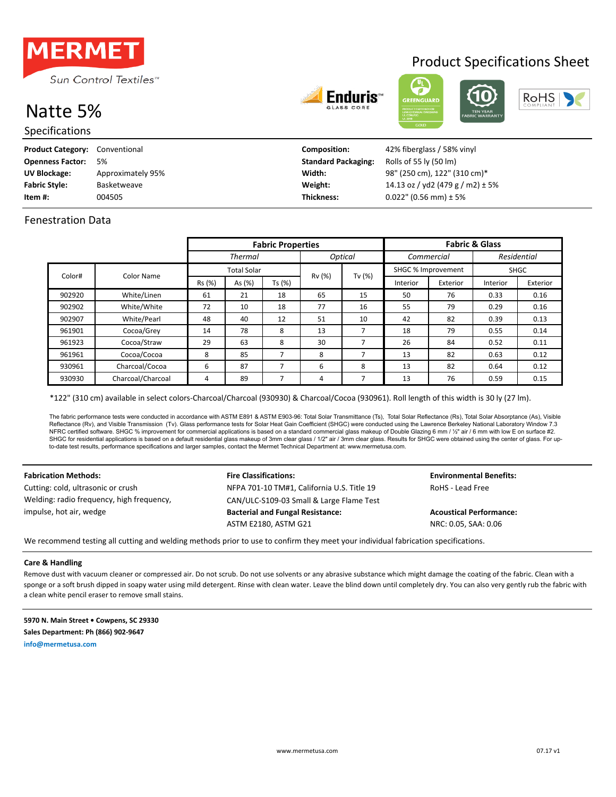

# Natte 5%

Specifications

| Enduri<br>ы |
|-------------|
| .           |



Product Specifications Sheet



| <b>Product Category:</b> | Conventional      | <b>Composition:</b>        | 42% fiberglass / 58% vinyl           |
|--------------------------|-------------------|----------------------------|--------------------------------------|
| <b>Openness Factor:</b>  | 5%                | <b>Standard Packaging:</b> | Rolls of 55 ly (50 lm)               |
| <b>UV Blockage:</b>      | Approximately 95% | Width:                     | 98" (250 cm), 122" (310 cm)*         |
| <b>Fabric Style:</b>     | Basketweave       | Weight:                    | 14.13 oz / yd2 (479 g / m2) $\pm$ 5% |
| Item #:                  | 004505            | <b>Thickness:</b>          | $0.022$ " (0.56 mm) ± 5%             |

## Fenestration Data

|        |                      | <b>Fabric Properties</b> |        |        |                | <b>Fabric &amp; Glass</b> |            |             |             |          |
|--------|----------------------|--------------------------|--------|--------|----------------|---------------------------|------------|-------------|-------------|----------|
|        |                      | <b>Thermal</b>           |        |        | <b>Optical</b> |                           | Commercial |             | Residential |          |
|        | <b>Total Solar</b>   |                          |        |        |                | SHGC % Improvement        |            | <b>SHGC</b> |             |          |
|        | Color#<br>Color Name | Rs (%)                   | As (%) | Ts (%) | Rv (%)         | Tv $(%)$                  | Interior   | Exterior    | Interior    | Exterior |
| 902920 | White/Linen          | 61                       | 21     | 18     | 65             | 15                        | 50         | 76          | 0.33        | 0.16     |
| 902902 | White/White          | 72                       | 10     | 18     | 77             | 16                        | 55         | 79          | 0.29        | 0.16     |
| 902907 | White/Pearl          | 48                       | 40     | 12     | 51             | 10                        | 42         | 82          | 0.39        | 0.13     |
| 961901 | Cocoa/Grey           | 14                       | 78     | 8      | 13             | 7                         | 18         | 79          | 0.55        | 0.14     |
| 961923 | Cocoa/Straw          | 29                       | 63     | 8      | 30             | 7                         | 26         | 84          | 0.52        | 0.11     |
| 961961 | Cocoa/Cocoa          | 8                        | 85     | 7      | 8              | 7                         | 13         | 82          | 0.63        | 0.12     |
| 930961 | Charcoal/Cocoa       | 6                        | 87     | 7      | 6              | 8                         | 13         | 82          | 0.64        | 0.12     |
| 930930 | Charcoal/Charcoal    | 4                        | 89     | 7      | 4              | 7                         | 13         | 76          | 0.59        | 0.15     |

\*122" (310 cm) available in select colors-Charcoal/Charcoal (930930) & Charcoal/Cocoa (930961). Roll length of this width is 30 ly (27 lm).

The fabric performance tests were conducted in accordance with ASTM E801 & ASTM E903-96: Total Solar Transmittance (Ts), Total Solar Reflectance (Rs), Total Solar Absorptance (As), Visible Reflectance (Rv), and Visible Transmission (Tv). Glass performance tests for Solar Heat Gain Coefficient (SHGC) were conducted using the Lawrence Berkeley National Laboratory Window 7.3 NFRC certified software. SHGC % improvement for commercial applications is based on a standard commercial glass makeup of Double Glazing 6 mm / ½" air / 6 mm with low E on surface #2. SHGC for residential applications is based on a default residential glass makeup of 3mm clear glass / 1/2" air / 3mm clear glass. Results for SHGC were obtained using the center of glass. For upto-date test results, performance specifications and larger samples, contact the Mermet Technical Department at: www.mermetusa.com.

Welding: radio frequency, high frequency, impulse, hot air, wedge

### **Fabrication Methods: Fire Classifications: Fire Classifications: Environmental Benefits:** Cutting: cold, ultrasonic or crush The MEPA 701-10 TM#1, California U.S. Title 19 RoHS - Lead Free CAN/ULC-S109-03 Small & Large Flame Test **Bacterial and Fungal Resistance: Acoustical Performance:**

ASTM E2180, ASTM G21 NRC: 0.05, SAA: 0.06

We recommend testing all cutting and welding methods prior to use to confirm they meet your individual fabrication specifications.

### **Care & Handling**

Remove dust with vacuum cleaner or compressed air. Do not scrub. Do not use solvents or any abrasive substance which might damage the coating of the fabric. Clean with a sponge or a soft brush dipped in soapy water using mild detergent. Rinse with clean water. Leave the blind down until completely dry. You can also very gently rub the fabric with a clean white pencil eraser to remove small stains.

**5970 N. Main Street • Cowpens, SC 29330 Sales Department: Ph (866) 902-9647 info@mermetusa.com**